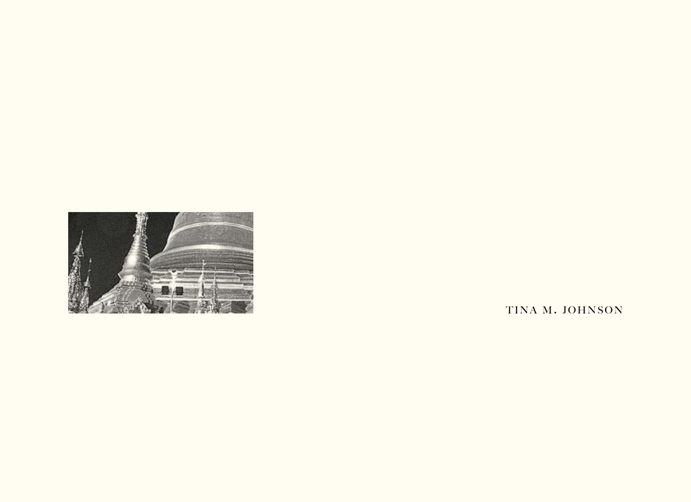

TINA M. JOHNSON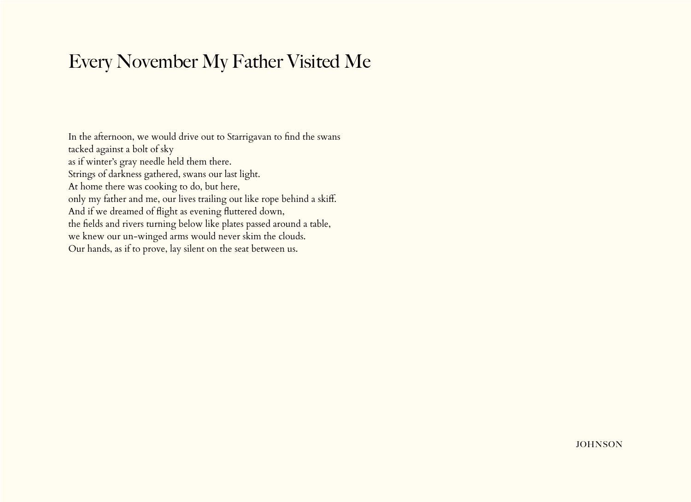## Every November My Father Visited Me

In the afternoon, we would drive out to Starrigavan to find the swans tacked against a bolt of sky as if winter's gray needle held them there. Strings of darkness gathered, swans our last light. At home there was cooking to do, but here, only my father and me, our lives trailing out like rope behind a skiff. And if we dreamed of flight as evening fluttered down, the fields and rivers turning below like plates passed around a table, we knew our un-winged arms would never skim the clouds. Our hands, as if to prove, lay silent on the seat between us.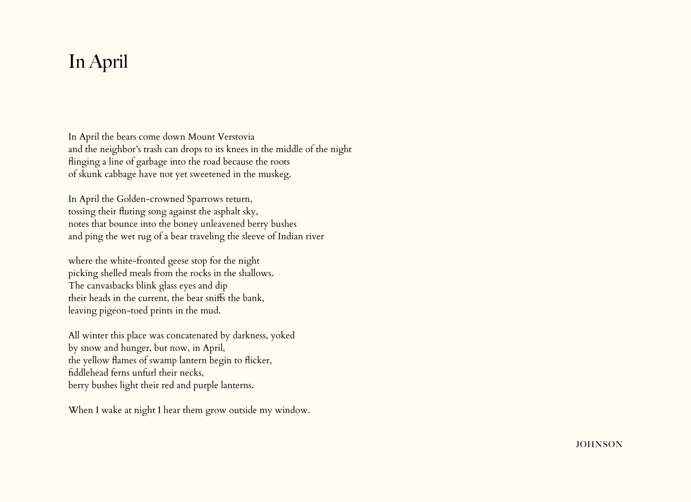## In April

In April the bears come down Mount Verstovia and the neighbor's trash can drops to its knees in the middle of the night flinging a line of garbage into the road because the roots of skunk cabbage have not yet sweetened in the muskeg.

In April the Golden-crowned Sparrows return, tossing their fluting song against the asphalt sky, notes that bounce into the boney unleavened berry bushes and ping the wet rug of a bear traveling the sleeve of Indian river

where the white-fronted geese stop for the night picking shelled meals from the rocks in the shallows. The canvasbacks blink glass eyes and dip their heads in the current, the bear sniffs the bank, leaving pigeon-toed prints in the mud.

All winter this place was concatenated by darkness, yoked by snow and hunger, but now, in April, the yellow flames of swamp lantern begin to flicker, fiddlehead ferns unfurl their necks, berry bushes light their red and purple lanterns.

When I wake at night I hear them grow outside my window.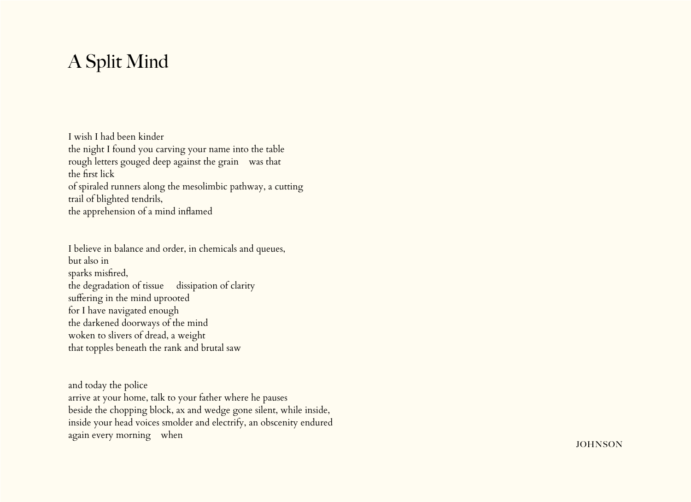## A Split Mind

I wish I had been kinder

the night I found you carving your name into the table rough letters gouged deep against the grain was that the first lick of spiraled runners along the mesolimbic pathway, a cutting trail of blighted tendrils, the apprehension of a mind inflamed

I believe in balance and order, in chemicals and queues, but also in sparks misfired, the degradation of tissue dissipation of clarity suffering in the mind uprooted for I have navigated enough the darkened doorways of the mind woken to slivers of dread, a weight that topples beneath the rank and brutal saw

and today the police arrive at your home, talk to your father where he pauses beside the chopping block, ax and wedge gone silent, while inside, inside your head voices smolder and electrify, an obscenity endured again every morning when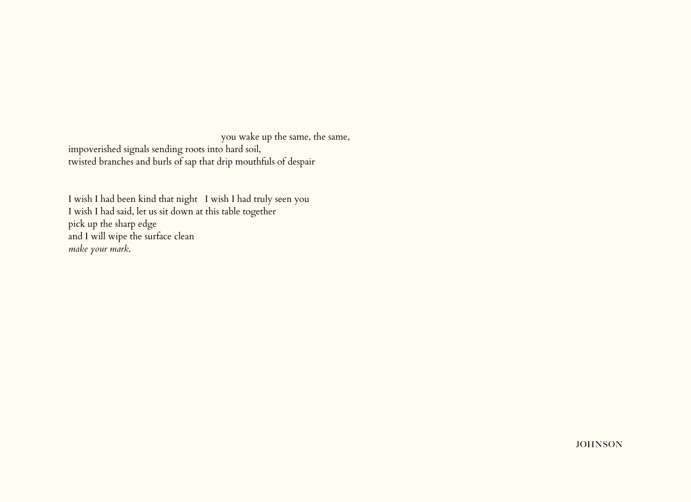you wake up the same, the same, impoverished signals sending roots into hard soil, twisted branches and burls of sap that drip mouthfuls of despair

I wish I had been kind that night I wish I had truly seen you I wish I had said, let us sit down at this table together pick up the sharp edge and I will wipe the surface clean *make your mark*.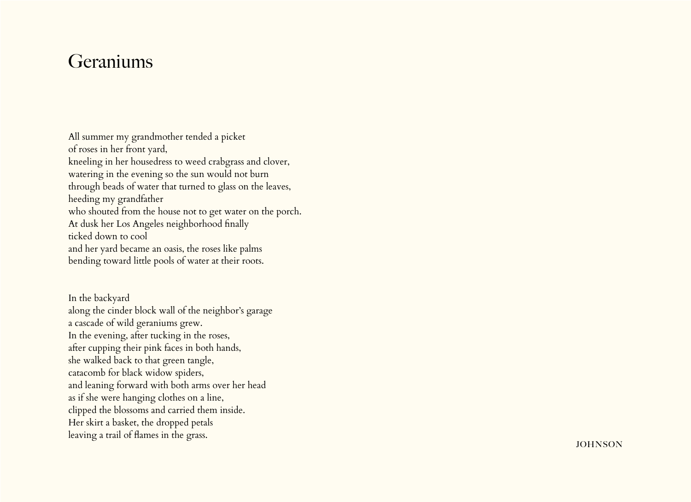## **Geraniums**

All summer my grandmother tended a picket of roses in her front yard, kneeling in her housedress to weed crabgrass and clover, watering in the evening so the sun would not burn through beads of water that turned to glass on the leaves, heeding my grandfather who shouted from the house not to get water on the porch. At dusk her Los Angeles neighborhood finally ticked down to cool and her yard became an oasis, the roses like palms bending toward little pools of water at their roots.

In the backyard along the cinder block wall of the neighbor's garage a cascade of wild geraniums grew. In the evening, after tucking in the roses, after cupping their pink faces in both hands, she walked back to that green tangle, catacomb for black widow spiders, and leaning forward with both arms over her head as if she were hanging clothes on a line, clipped the blossoms and carried them inside. Her skirt a basket, the dropped petals leaving a trail of flames in the grass.